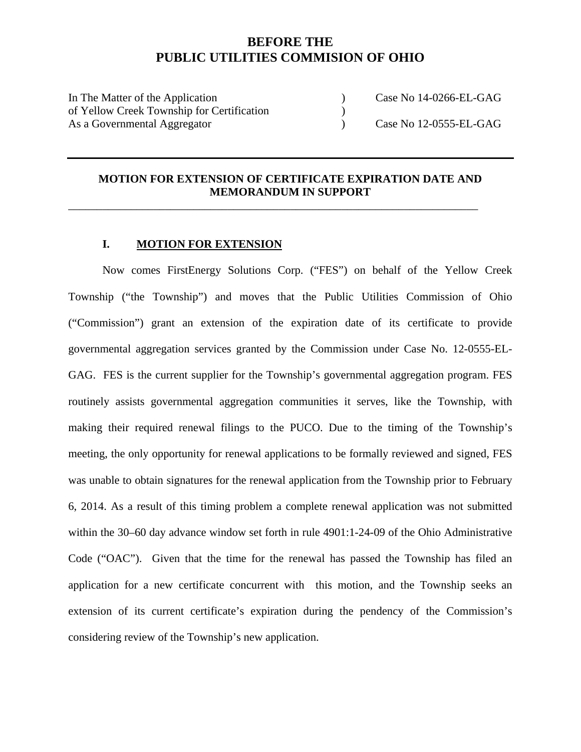# **BEFORE THE PUBLIC UTILITIES COMMISION OF OHIO**

In The Matter of the Application (a) Case No 14-0266-EL-GAG of Yellow Creek Township for Certification ) As a Governmental Aggregator ) Case No 12-0555-EL-GAG

### **MOTION FOR EXTENSION OF CERTIFICATE EXPIRATION DATE AND MEMORANDUM IN SUPPORT**

\_\_\_\_\_\_\_\_\_\_\_\_\_\_\_\_\_\_\_\_\_\_\_\_\_\_\_\_\_\_\_\_\_\_\_\_\_\_\_\_\_\_\_\_\_\_\_\_\_\_\_\_\_\_\_\_\_\_\_\_\_\_\_\_\_\_\_\_\_\_\_\_

### **I. MOTION FOR EXTENSION**

Now comes FirstEnergy Solutions Corp. ("FES") on behalf of the Yellow Creek Township ("the Township") and moves that the Public Utilities Commission of Ohio ("Commission") grant an extension of the expiration date of its certificate to provide governmental aggregation services granted by the Commission under Case No. 12-0555-EL-GAG. FES is the current supplier for the Township's governmental aggregation program. FES routinely assists governmental aggregation communities it serves, like the Township, with making their required renewal filings to the PUCO. Due to the timing of the Township's meeting, the only opportunity for renewal applications to be formally reviewed and signed, FES was unable to obtain signatures for the renewal application from the Township prior to February 6, 2014. As a result of this timing problem a complete renewal application was not submitted within the 30–60 day advance window set forth in rule 4901:1-24-09 of the Ohio Administrative Code ("OAC"). Given that the time for the renewal has passed the Township has filed an application for a new certificate concurrent with this motion, and the Township seeks an extension of its current certificate's expiration during the pendency of the Commission's considering review of the Township's new application.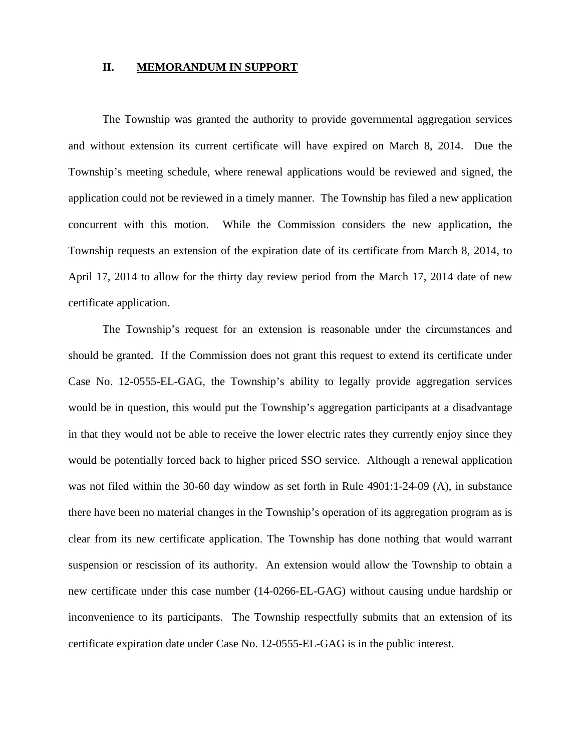#### **II. MEMORANDUM IN SUPPORT**

The Township was granted the authority to provide governmental aggregation services and without extension its current certificate will have expired on March 8, 2014. Due the Township's meeting schedule, where renewal applications would be reviewed and signed, the application could not be reviewed in a timely manner. The Township has filed a new application concurrent with this motion. While the Commission considers the new application, the Township requests an extension of the expiration date of its certificate from March 8, 2014, to April 17, 2014 to allow for the thirty day review period from the March 17, 2014 date of new certificate application.

 The Township's request for an extension is reasonable under the circumstances and should be granted. If the Commission does not grant this request to extend its certificate under Case No. 12-0555-EL-GAG, the Township's ability to legally provide aggregation services would be in question, this would put the Township's aggregation participants at a disadvantage in that they would not be able to receive the lower electric rates they currently enjoy since they would be potentially forced back to higher priced SSO service. Although a renewal application was not filed within the 30-60 day window as set forth in Rule 4901:1-24-09 (A), in substance there have been no material changes in the Township's operation of its aggregation program as is clear from its new certificate application. The Township has done nothing that would warrant suspension or rescission of its authority. An extension would allow the Township to obtain a new certificate under this case number (14-0266-EL-GAG) without causing undue hardship or inconvenience to its participants. The Township respectfully submits that an extension of its certificate expiration date under Case No. 12-0555-EL-GAG is in the public interest.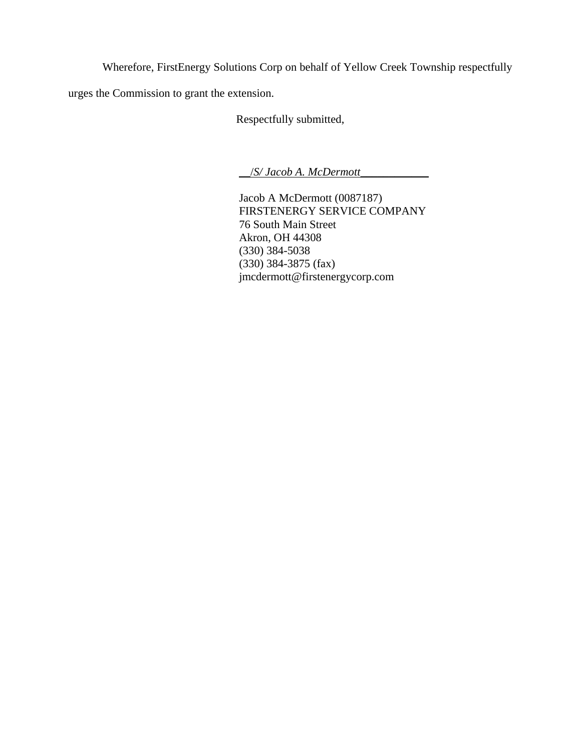Wherefore, FirstEnergy Solutions Corp on behalf of Yellow Creek Township respectfully

urges the Commission to grant the extension.

Respectfully submitted,

\_\_/*S/ Jacob A. McDermott*\_\_\_\_\_\_\_\_\_\_\_\_

 Jacob A McDermott (0087187) FIRSTENERGY SERVICE COMPANY 76 South Main Street Akron, OH 44308 (330) 384-5038 (330) 384-3875 (fax) jmcdermott@firstenergycorp.com